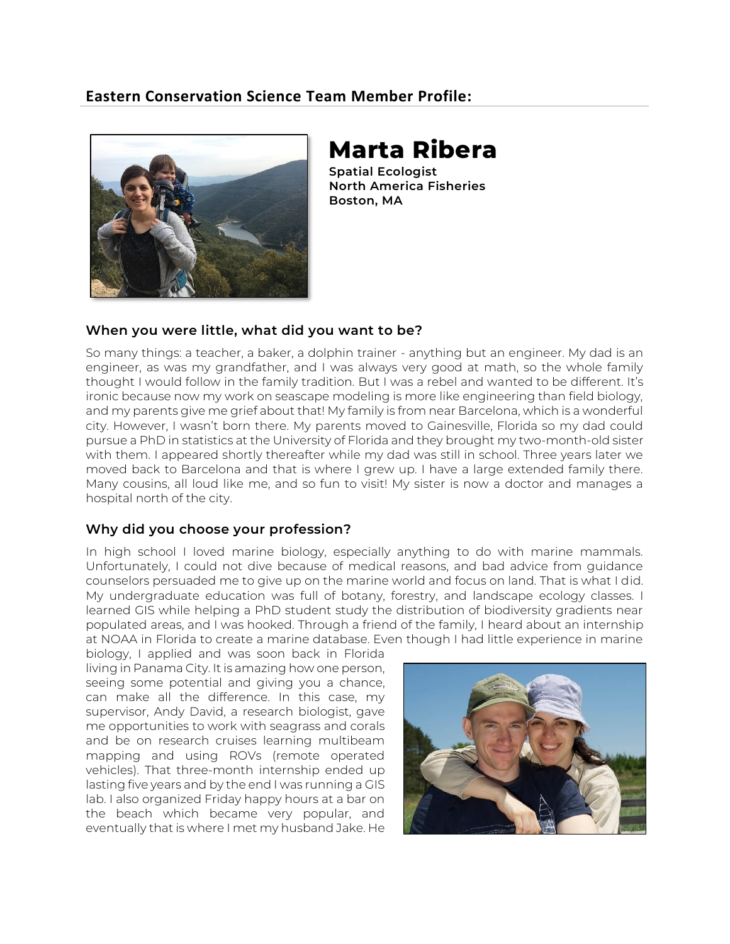# **Eastern Conservation Science Team Member Profile:**



# **Marta Ribera**

**Spatial Ecologist North America Fisheries Boston, MA**

#### **When you were little, what did you want to be?**

So many things: a teacher, a baker, a dolphin trainer - anything but an engineer. My dad is an engineer, as was my grandfather, and I was always very good at math, so the whole family thought I would follow in the family tradition. But I was a rebel and wanted to be different. It's ironic because now my work on seascape modeling is more like engineering than field biology, and my parents give me grief about that! My family is from near Barcelona, which is a wonderful city. However, I wasn't born there. My parents moved to Gainesville, Florida so my dad could pursue a PhD in statistics at the University of Florida and they brought my two-month-old sister with them. I appeared shortly thereafter while my dad was still in school. Three years later we moved back to Barcelona and that is where I grew up. I have a large extended family there. Many cousins, all loud like me, and so fun to visit! My sister is now a doctor and manages a hospital north of the city.

#### **Why did you choose your profession?**

In high school I loved marine biology, especially anything to do with marine mammals. Unfortunately, I could not dive because of medical reasons, and bad advice from guidance counselors persuaded me to give up on the marine world and focus on land. That is what I did. My undergraduate education was full of botany, forestry, and landscape ecology classes. I learned GIS while helping a PhD student study the distribution of biodiversity gradients near populated areas, and I was hooked. Through a friend of the family, I heard about an internship at NOAA in Florida to create a marine database. Even though I had little experience in marine

biology, I applied and was soon back in Florida living in Panama City. It is amazing how one person, seeing some potential and giving you a chance, can make all the difference. In this case, my supervisor, Andy David, a research biologist, gave me opportunities to work with seagrass and corals and be on research cruises learning multibeam mapping and using ROVs (remote operated vehicles). That three-month internship ended up lasting five years and by the end I was running a GIS lab. I also organized Friday happy hours at a bar on the beach which became very popular, and eventually that is where I met my husband Jake. He

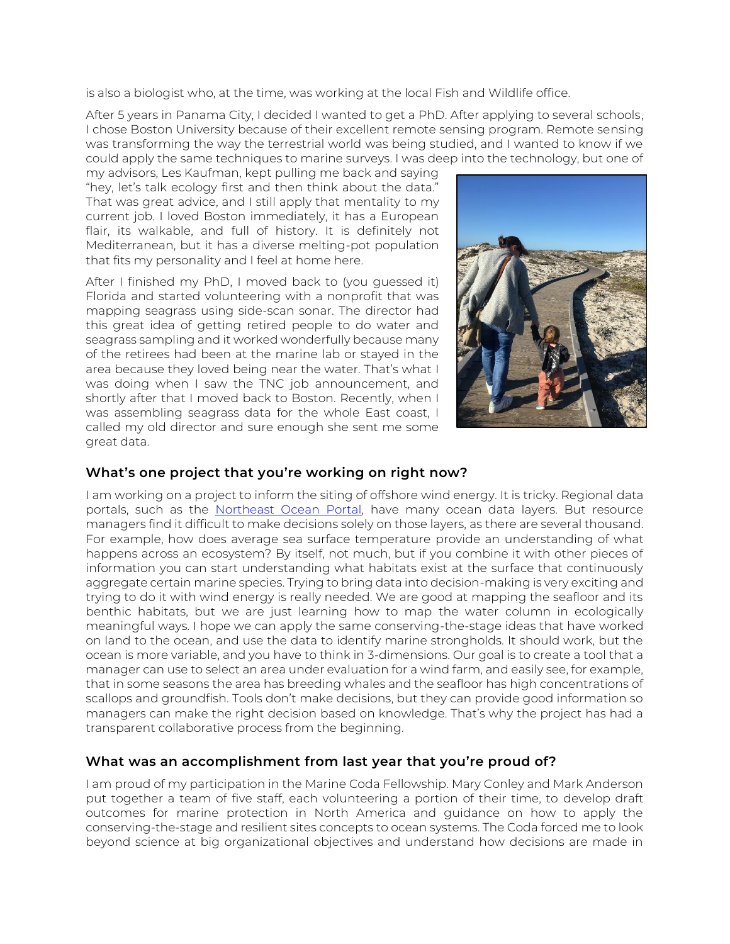is also a biologist who, at the time, was working at the local Fish and Wildlife office.

After 5 years in Panama City, I decided I wanted to get a PhD. After applying to several schools, I chose Boston University because of their excellent remote sensing program. Remote sensing was transforming the way the terrestrial world was being studied, and I wanted to know if we could apply the same techniques to marine surveys. I was deep into the technology, but one of

my advisors, Les Kaufman, kept pulling me back and saying "hey, let's talk ecology first and then think about the data." That was great advice, and I still apply that mentality to my current job. I loved Boston immediately, it has a European flair, its walkable, and full of history. It is definitely not Mediterranean, but it has a diverse melting-pot population that fits my personality and I feel at home here.

After I finished my PhD, I moved back to (you guessed it) Florida and started volunteering with a nonprofit that was mapping seagrass using side-scan sonar. The director had this great idea of getting retired people to do water and seagrass sampling and it worked wonderfully because many of the retirees had been at the marine lab or stayed in the area because they loved being near the water. That's what I was doing when I saw the TNC job announcement, and shortly after that I moved back to Boston. Recently, when I was assembling seagrass data for the whole East coast, I called my old director and sure enough she sent me some great data.



### **What's one project that you're working on right now?**

I am working on a project to inform the siting of offshore wind energy. It is tricky. Regional data portals, such as the [Northeast Ocean Portal,](https://www.northeastoceandata.org/) have many ocean data layers. But resource managers find it difficult to make decisions solely on those layers, as there are several thousand. For example, how does average sea surface temperature provide an understanding of what happens across an ecosystem? By itself, not much, but if you combine it with other pieces of information you can start understanding what habitats exist at the surface that continuously aggregate certain marine species. Trying to bring data into decision-making is very exciting and trying to do it with wind energy is really needed. We are good at mapping the seafloor and its benthic habitats, but we are just learning how to map the water column in ecologically meaningful ways. I hope we can apply the same conserving-the-stage ideas that have worked on land to the ocean, and use the data to identify marine strongholds. It should work, but the ocean is more variable, and you have to think in 3-dimensions. Our goal is to create a tool that a manager can use to select an area under evaluation for a wind farm, and easily see, for example, that in some seasons the area has breeding whales and the seafloor has high concentrations of scallops and groundfish. Tools don't make decisions, but they can provide good information so managers can make the right decision based on knowledge. That's why the project has had a transparent collaborative process from the beginning.

#### **What was an accomplishment from last year that you're proud of?**

I am proud of my participation in the Marine Coda Fellowship. Mary Conley and Mark Anderson put together a team of five staff, each volunteering a portion of their time, to develop draft outcomes for marine protection in North America and guidance on how to apply the conserving-the-stage and resilient sites concepts to ocean systems. The Coda forced me to look beyond science at big organizational objectives and understand how decisions are made in